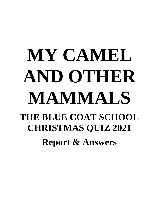# **MY CAMEL AND OTHER MAMMALS THE BLUE COAT SCHOOL CHRISTMAS QUIZ 2021 Report & Answers**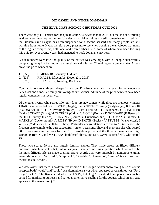### **MY CAMEL AND OTHER MAMMALS**

### **THE BLUE COAT SCHOOL CHRISTMAS QUIZ 2021**

There were only 118 entries for the quiz this time, 60 fewer than in 2019, but that is not surprising as there were fewer opportunities for sales, as social activities are still somewhat restricted (*e.g.* the Oldham Quiz League has been suspended for a second season) and many people are still working from home. It was therefore very pleasing to see when opening the envelopes that many of the regular competitors, both local and from further afield, some of whom have been tackling this quiz for over twenty years, had managed to track down an entry form.

But if numbers were low, the quality of the entries was very high, with 23 people successfully completing the quiz (four more than last time) and a further 22 making only one mistake. After a draw, the prize winners are:

- 1. (£50) C MELLOR, Bardsley, Oldham
- 2. (£35) R HALES, Ilfracombe, Devon (3rd 2018)
- 3. (£25) C HAMBLER, Newhey, Rochdale

Congratulations to all three and especially to our  $1<sup>st</sup>$  prize winner who is a recent former student at Blue Coat and almost certainly our youngest ever winner. All three of the prize winners have been regular contenders in recent years.

Of the other twenty who scored 100, only four are newcomers while three are previous winners: J BAKER (Chesterfield), C BOYLE (Diggle), the BRIERLEY family (Stalybridge), K BROOK (Slaithwaite), R BUTLIN (Wellingborough), A BUTTERWORTH (Oldham), C CHANTLER (Bath), J CRABB (Shaw), M CROPPER (Oldham), A GILL (Bolton), D GODDARD (Failsworth), the HILL family (Eccles), R IRVING (Cardross, Dunbartonshire), D LOMAX (Halifax), D MASKEW (Cockermouth), A RILEY (Hyde), D SMITH (Eccles), V STUBBS (Manchester), J WEBB (Middleton), D YOUNG (Shaw). Particular congratulations are due to A Gill, who is the first person to complete the quiz successfully on ten occasions. They and everyone else who scored 50 or more went into a draw for the £10 consolation prizes and the three winners are all high scorers: R IRVING and V STUBBS, both listed above, and M BROWN (Greenfield), who scored 99.

Those who scored 99 are also largely familiar names. They made errors on fifteen different questions, which indicates that, unlike last year, there was no single question which proved to be the most difficult. Eleven made spelling errors. Words that were misspelt by numerous entrants were "rhinoceros", "aardvark", "chipmunk", "Keighley", "kangaroo", "Emilia" (as in Fox) and "Starr" (as in Freddie).

We were aware that there is no definitive version of the tongue twister answer to Q56, so of course accepted both "would" and "could". An alternative answer which appeared several times was "Ford Kuga" for Q21. The Kuga is indeed a small SUV, but "kuga" is a short homophone presumably coined for marketing purposes and is not an alternative spelling for the cougar, which in any case appears in the answer to Q37.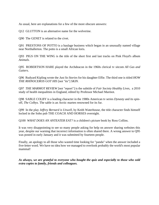As usual, here are explanations for a few of the more obscure answers:

Q12 GLUTTON is an alternative name for the wolverine.

Q90 The GENET is related to the civet.

Q91 PRESTONS OF POTTO is a haulage business which began in an unusually named village near Northallerton. The potto is a small African loris.

Q93 PIGS ON THE WING is the title of the short first and last tracks on Pink Floyd's album *Animals.* 

Q95 ROBERTSON HARE played the Archdeacon in the 1960s clerical tv sitcom *All Gas and Gaiters*.

Q96 Rudyard Kipling wrote the *Just So Stories* for his daughter Effie. The third one is titled *HOW THE RHINOCEROS GOT HIS* [not "its"] *SKIN.*

Q97 *THE MARMOT REVIEW* [not "report"] is the subtitle of *Fair Society Healthy Lives,* a 2010 study of health inequalities in England, edited by Professor Michael Marmot.

Q98 SABLE COLBY is a leading character in the 1980s American tv series *Dynasty* and its spinoff, *The Colbys.* The sable is an Arctic marten renowned for its fur.

Q99 In the play *Jeffrey Bernard is Unwell,* by Keith Waterhouse, the title character finds himself locked in the Soho pub THE COACH AND HORSES overnight.

Q100 *WHAT DOES AN ANTEATER EAT?* is a children's picture book by Ross Collins.

It was very disappointing to see so many people asking for help on answer sharing websites this year, despite our warning that incorrect information is often shared there. A wrong answer to Q95 was posted in early January and it was submitted by fourteen people.

Finally, an apology to all those who wasted time looking for "panda" when the answer included a five-letter word. We have no idea how we managed to overlook probably the world's most popular mammal!

*As always, we are grateful to everyone who bought the quiz and especially to those who sold extra copies to family, friends and colleagues.*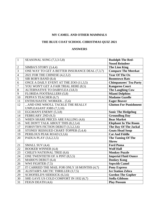# **MY CAMEL AND OTHER MAMMALS**

# **THE BLUE COAT SCHOOL CHRISTMAS QUIZ 2021**

## **ANSWERS**

| $\mathbf{1}$   | SEASONAL SONG (7,3,3-5,8)                      | <b>Rudolph The Red-</b><br><b>Nosed Reindeer</b> |
|----------------|------------------------------------------------|--------------------------------------------------|
| $\overline{2}$ | SIMBA'S STORY (3,4,4)                          | <b>The Lion King</b>                             |
| $\overline{3}$ | ONE WAY TO GET A BETTER INSURANCE DEAL (7,3,7) | <b>Compare The Meerkat</b>                       |
|                |                                                |                                                  |
| $\overline{4}$ | 2021 FOR THE CHINESE (4,2,3,2)                 | <b>Year Of The Ox</b>                            |
| $\overline{5}$ | SIR BOB'S BAND (8,4)                           | <b>Boomtown Rats</b>                             |
| 6              | ONCE A DAILY EVENT AT THE ZOO (11,3,5)         | <b>Chimpanzees' Tea Party</b>                    |
| $\overline{7}$ | YOU WON'T GET A FAIR TRIAL HERE (8,5)          | <b>Kangaroo Court</b>                            |
| 8              | ALTERNATIVE TO DAIRYLEA (3,8,3)                | <b>The Laughing Cow</b>                          |
| 9              | <b>FLORIDA FOOTBALLERS (5,8)</b>               | <b>Miami Dolphins</b>                            |
| 10             | PEPPA'S TEACHER (6,7)                          | <b>Madame Gazelle</b>                            |
| 11             | <b>ENTHUSIASTIC WORKER (5,6)</b>               | <b>Eager Beaver</b>                              |
| 12             | AND ONE WHO'LL TACKLE THE REALLY               | <b>Glutton For Punishment</b>                    |
|                | UNPLEASANT JOBS (7,3,10)                       |                                                  |
| 13             | EGGMAN'S ENEMY (5,3,8)                         | <b>Sonic The Hedgehog</b>                        |
| 14             | FEBRUARY 2ND (9,3)                             | <b>Groundhog Day</b>                             |
| 15             | WHEN SHARE PRICES ARE FALLING (4,6)            | <b>Bear Market</b>                               |
| 16             | WE DON'T TALK ABOUT THIS (8,2,3,4)             | <b>Elephant In The Room</b>                      |
| 17             | FORSYTH'S FICTION DEBUT (3,3,2,3,6)            | The Day Of The Jackal                            |
| 18             | STONES' REISSUED CHART-TOPPER (5,4,4)          | <b>Goats Head Soup</b>                           |
| 19             | PERILOUS PEAK ROAD (3,3,6)                     | <b>Cat And Fiddle</b>                            |
| 20             | PADUA PLAY (3,6,2,3,5)                         | The Taming Of The                                |
|                |                                                | <b>Shrew</b>                                     |
| 21             | SMALL SUV (4,4)                                | <b>Ford Puma</b>                                 |
| 22             | <b>BOOKER WINNER (4,4)</b>                     | <b>Wolf Hall</b>                                 |
| 23             | CHILE'S NATIONAL TREE (6,6)                    | <b>Monkey Puzzle</b>                             |
| 24             | ONE TWENTIETH OF A PINT (8,5,5)                | <b>Imperial Fluid Ounce</b>                      |
| 25             | MARIO'S DEBUT (6,4)                            | <b>Donkey Kong</b>                               |
| 26             | WWI FIGHTER (7,5)                              | <b>Sopwith Camel</b>                             |
| 27             | IT CARRIED THE MAIL FOR ONLY 18 MONTHS (4,7)   | <b>Pony Express</b>                              |
| 28             | ALISTAIR'S ARCTIC THRILLER (3,7,5)             | <b>Ice Station Zebra</b>                         |
| 29             | SCHOFIELD'S SIDEKICK (6,3,6)                   | <b>Gordon The Gopher</b>                         |
| 30             | SHE GAVE US COLD COMFORT IN 1932 (6,7)         | <b>Stella Gibbons</b>                            |
| 31             | FEIGN DEATH (4,6)                              | <b>Play Possum</b>                               |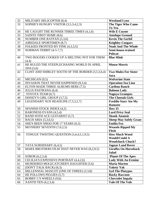| 32 | MILITARY HELICOPTER (8,4)                            | <b>Westland Lynx</b>          |
|----|------------------------------------------------------|-------------------------------|
| 33 | SOPHIE'S HUNGRY VISITOR (3,5,3,4,2,3)                | The Tiger Who Came            |
|    |                                                      | To Tea                        |
| 34 | HE CAUGHT THE RUNNER THREE TIMES (4,1,6)             | <b>Wile E Coyote</b>          |
| 35 | SAINTS' FIRST HOME (8,6)                             | <b>Antelope Ground</b>        |
| 36 | NUMBER ONE RATFAN (5,3,6)                            | <b>Kevin The Gerbil</b>       |
| 37 | AIREDALE SPORTSMEN (8,7)                             | <b>Keighley Cougars</b>       |
| 38 | FOLKIES FRONTED BY FINK (4,3,3,5)                    | <b>Noah And The Whale</b>     |
| 39 | NORMAN TEBBIT (4-5-7,7)                              | Semi-house-trained            |
|    |                                                      | <b>Polecat</b>                |
| 40 | TWO ROGERS COOKED UP A MELTING POT FOR THEM<br>(4,4) | <b>Blue Mink</b>              |
| 41 | HE RULED THE STEEPLECHASING WORLD IN APRIL           | <b>Mouse Morris</b>           |
|    | 2016(5,6)                                            |                               |
| 42 | CLINT AND SHIRLEY SOUTH OF THE BORDER (3,5,3,6,4)    | <b>Two Mules For Sister</b>   |
|    |                                                      | <b>Sara</b>                   |
| 43 | MICHIGAN (9,5)                                       | <b>Wolverine State</b>        |
| 44 | <b>INVASION THAT NEVER HAPPENED (9,3,4)</b>          | <b>Operation Sea Lion</b>     |
| 45 | ELTON MADE THREE ALBUMS HERE (7,5)                   | <b>Caribou Ranch</b>          |
| 46 | <b>JULIA PASTRANA (6,4)</b>                          | <b>Baboon Lady</b>            |
| 47 | TOYOTA TEAM (6,7)                                    | <b>Nagoya Grampus</b>         |
| 48 | DISNEY'S GIRL GROUP (3,7,5)                          | <b>The Cheetah Girls</b>      |
| 49 | LEGENDARY SUN HEADLINE (7,5,3,2,7)                   | <b>Freddie Starr Ate My</b>   |
|    |                                                      | <b>Hamster</b>                |
| 50 | SPANISH STOCK INDEX (4,2)                            | Ibex 35                       |
| 51 | <b>BARONESS EVANS (4,5,4)</b>                        | <b>Lord Privy Seal</b>        |
| 52 | <b>BAND WITH ACE GUITARIST (5,7)</b>                 | <b>Skunk Anansie</b>          |
| 53 | <b>BACH ARIA</b> (5,3,6,5)                           | <b>Sheep May Safely Graze</b> |
| 54 | SHE'S BEEN NIKKI FOR 17 YEARS (6,3)                  | <b>Emilia Fox</b>             |
| 55 | MOTHERS' SEVENTH (7,6,2,5)                           | <b>Weasels Ripped My</b>      |
|    |                                                      | <b>Flesh</b>                  |
| 56 | TONGUE TWISTING QUESTION (3,4,4,5,1,9,5)             | <b>How Much Wood</b>          |
|    |                                                      | <b>Would/Could A</b>          |
|    |                                                      | <b>Woodchuck Chuck?</b>       |
| 57 | TATA SUBSIDIARY (6,4,5)                              | <b>Jaguar Land Rover</b>      |
| 58 | MARX BROTHERS FILM THAT NEVER WAS (8,2,9,5)          | <b>Giraffes On Horseback</b>  |
|    |                                                      | <b>Salad</b>                  |
| 59 | SOROR (6,2,3,4)                                      | <b>Planet Of The Apes</b>     |
| 60 | CECILIA'S EXPENSIVE PORTRAIT (4,4,2,6)               | <b>Lady With An Ermine</b>    |
| 61 | MURDERED MOLECATCHER'S DAUGHTER (5,6)                | <b>Maria Marten</b>           |
| 62 | (DON'T TALK BACK) (6,3)                              | <b>Yakety Yak</b>             |
| 63 | MILLENNIAL MASCOT (ONE OF THREE) (3,3,8)             | <b>Syd The Platypus</b>       |
| 64 | HE FOLLOWS PIGGIES (5,7)                             | <b>Rocky Raccoon</b>          |
| 65 | <b>BOBBY C'S WHEELS (9,6)</b>                        | <b>Chevrolet Impala</b>       |
| 66 | <b>XANTH TEN (4,2,3,4)</b>                           | <b>Vale Of The Vole</b>       |